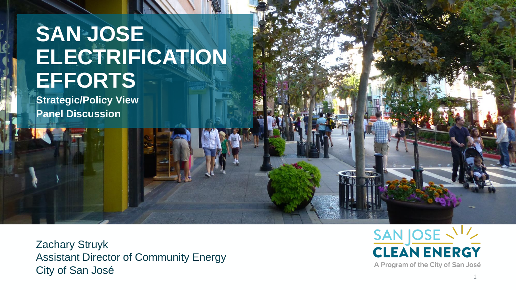## **SAN JOSE ELECTRIFICATION EFFORTS**

**Strategic/Policy View Panel Discussion**

Zachary Struyk Assistant Director of Community Energy City of San José

SAN JOSE VI **CLEAN ENERGY** A Program of the City of San José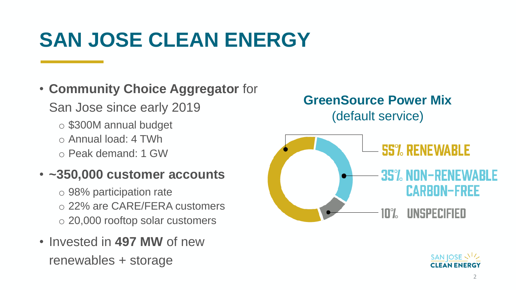# **SAN JOSE CLEAN ENERGY**

• **Community Choice Aggregator** for San Jose since early 2019 o \$300M annual budget o Annual load: 4 TWh o Peak demand: 1 GW

#### • **~350,000 customer accounts**

o 98% participation rate o 22% are CARE/FERA customers o 20,000 rooftop solar customers

• Invested in **497 MW** of new renewables + storage

#### **GreenSource Power Mix** (default service)



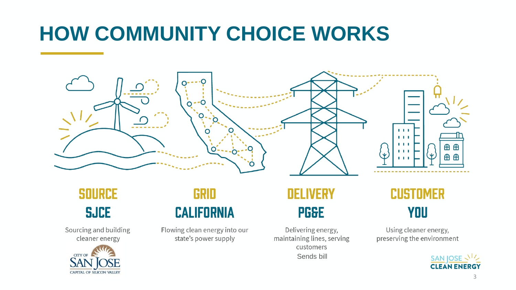# **HOW COMMUNITY CHOICE WORKS**



### **SOURCE SJCE**

Sourcing and building cleaner energy



#### **GRID CALIFORNIA**

Flowing clean energy into our state's power supply

### **DELIVERY PG&E**

Delivering energy, maintaining lines, serving customers Sends bill

### **CUSTOMER YOU**

Using cleaner energy, preserving the environment

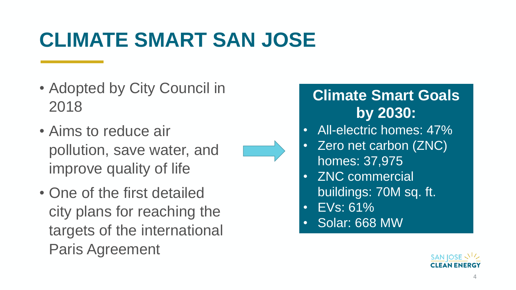# **CLIMATE SMART SAN JOSE**

- Adopted by City Council in 2018
- Aims to reduce air pollution, save water, and improve quality of life
- One of the first detailed city plans for reaching the targets of the international Paris Agreement



#### **Climate Smart Goals by 2030:**

- All-electric homes: 47%
- Zero net carbon (ZNC) homes: 37,975
- ZNC commercial buildings: 70M sq. ft.
- EVs: 61%
- Solar: 668 MW

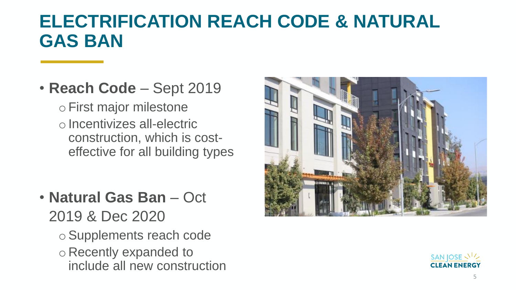## **ELECTRIFICATION REACH CODE & NATURAL GAS BAN**

### • **Reach Code** – Sept 2019

oFirst major milestone o Incentivizes all-electric construction, which is costeffective for all building types

- **Natural Gas Ban** Oct 2019 & Dec 2020
	- oSupplements reach code o Recently expanded to include all new construction



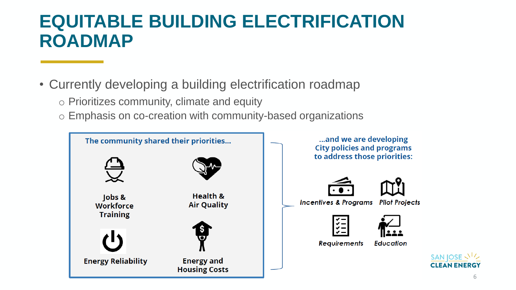## **EQUITABLE BUILDING ELECTRIFICATION ROADMAP**

- Currently developing a building electrification roadmap
	- o Prioritizes community, climate and equity
	- o Emphasis on co-creation with community-based organizations